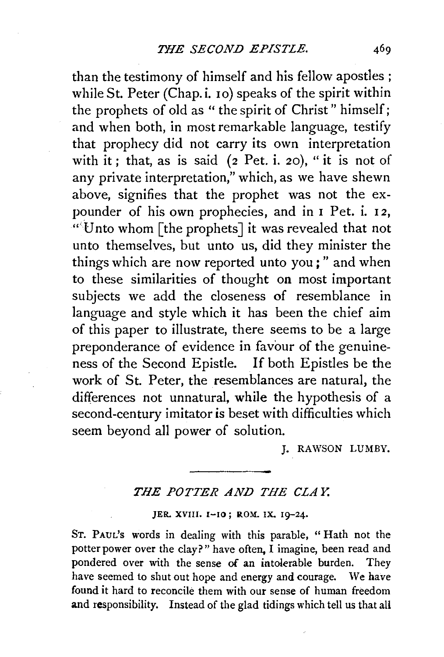than the testimony of himself and his fellow apostles ; while St. Peter (Chap.i. 10) speaks of the spirit within the prophets of old as " the spirit of Christ " himself; and when both, in most remarkable language, testify that prophecy did not carry its own interpretation with it; that, as is said (2 Pet. i. 20), "it is not of any private interpretation," which, as we have shewn above, signifies that the prophet was not the expounder of his own prophecies, and in I Pet. i. 12,  $\lll$  if was revealed that not unto themselves, but unto us, did they minister the things which are now reported unto you; " and when to these similarities of thought on most important subjects we add the closeness of resemblance in language and style which it has been the chief aim of this paper to illustrate, there seems to be a large preponderance of evidence in favour of the genuineness of the Second Epistle. If both Epistles be the work of St. Peter, the resemblances are natural, the differences not unnatural, while the hypothesis of a second-century imitator is beset with difficulties which seem beyond all power of solution.

J. RAWSON LUMBY.

## *THE POTTER AND THE CLAY.*

## JER. XVIII. 1-10; ROM. IX. 19-24.

ST. PAUL's words in dealing with this parable, "Hath not the potter power over the clay?" have often, I imagine, been read and pondered over with the sense of an intolerable burden. They have seemed to shut out hope and energy and courage. We have found it hard to reconcile them with our sense of human freedom and responsibility. Instead of the glad tidings which tell us that all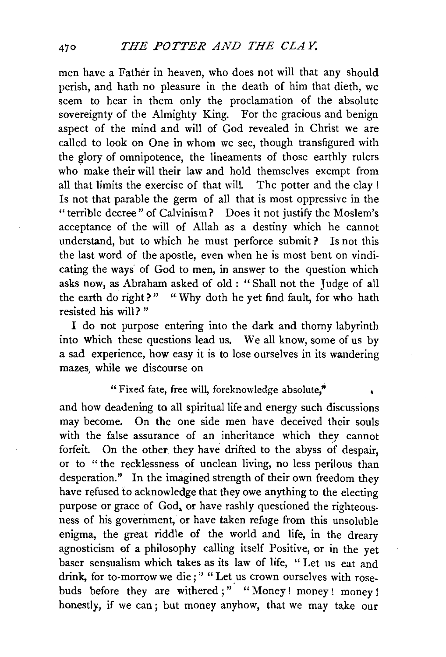men have a Father in heaven, who does not will that any should perish, and hath no pleasure in the death of him that dieth, we seem to hear in them only the proclamation of the absolute sovereignty of the Almighty King. For the gracious and benign aspect of the mind and will of God revealed in Christ we are called to look on One in whom we see, though transfigured with the glory of omnipotence, the lineaments of those earthly rulers who make their will their law and hold themselves exempt from all that limits the exercise of that wilL The potter and the clay ! Is not that parable the germ of all that is most oppressive in the "terrible decree" of Calvinism? Does it not justify the Moslem's acceptance of the will of Allah as a destiny which he cannot understand, but to which he must perforce submit? Is not this the last word of the apostle, even when he is most bent on vindicating the ways· of God to men, in answer to the question which asks now, as Abraham asked of old : " Shall not the Judge of all the earth do right?" " Why doth he yet find fault, for who hath resisted his will? "

I do not purpose entering into the dark and thorny labyrinth into which these questions lead us. We all know, some of us by a sad experience, how easy it is to lose ourselves in its wandering mazes. while we discourse on

## "Fixed fate, free will, foreknowledge absolute,"

and how deadening to all spiritual life and energy such discussions may become. On the one side men have deceived their souls with the false assurance of an inheritance which they cannot forfeit. On the other they have drifted to the abyss of despair, or to "the recklessness of unclean living, no less perilous than desperation." In the imagined strength of their own freedom they have refused to acknowledge that they owe anything to the electing purpose or grace of God, or have rashly questioned the righteousness of his government, or have taken refuge from this unsoluble enigma, the great riddle of the world and life, in the dreary agnosticism of a philosophy calling itself Positive, or in the yet baser sensualism which takes as its law of life, " Let us eat and drink, for to-morrow we die;" "Let us crown ourselves with rosebuds before they are withered ;" "Money! money! money! honestly, if we can; but money anyhow, that we may take our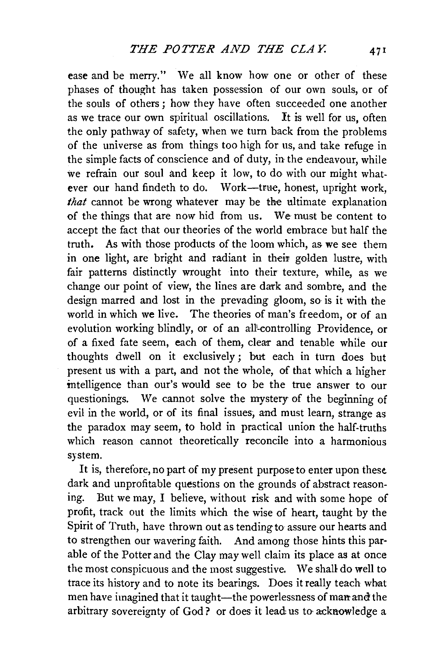ease and be merry." We all know how one or other of these phases of thought has taken possession of our own souls, or of the souls of others; how they have often succeeded one another as we trace our own spiritual oscillations. It is well for us, often the only pathway of safety, when we turn back from the problems of the universe as from things too high for us, and take refuge in the simple facts of conscience and of duty, in the endeavour, while we refrain our soul and keep it low, to do with our might whatever our hand findeth to do. Work-true, honest, upright work. *that* cannot be wrong whatever may be the ultimate explanation of the things that are now hid from us. We must be content to accept the fact that our theories of the world embrace but half the truth. As with those products of the loom which, as we see them in one light, are bright and radiant in their golden lustre, with fair patterns distinctly wrought into their texture, while, as we change our point of view, the lines are dark and sombre, and the design marred and lost in the prevading gloom, so is it with the world in which we live. The theories of man's freedom, or of an evolution working blindly, or of an all-controlling Providence, or of a fixed fate seem, each of them, clear and tenable while our thoughts dwell on it exclusively; but each in turn does but present us with a part, and not the whole, of that which a higher intelligence than our's would see to be the true answer to our questionings. We cannot solve the mystery of the beginning of evil in the world, or of its final issues, and must learn, strange as the paradox may seem, to hold in practical union the half-truths which reason cannot theoretically reconcile into a harmonious system.

It is, therefore, no part of my present purpose to enter upon these. dark and unprofitable questions on the grounds of abstract reasoning. But we may, I believe, without risk and with some hope of profit, track out the limits which the wise of heart, taught by the Spirit of Truth, have thrown out as tending to assure our hearts and to strengthen our wavering faith. And among those hints this par· able of the Potter and the Clay may well claim its place as at once the most conspicuous and the most suggestive. We shall do well to trace its history and to note its bearings. Does it really teach what men have imagined that it taught-the powerlessness of man and the arbitrary sovereignty of God? or does it lead us to acknowledge a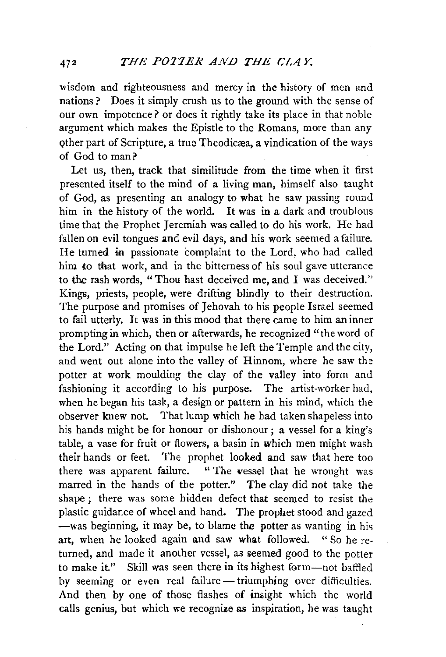wisdom and righteousness and mercy in the history of men and nations ? Does it simply crush us to the ground with the sense of our own impotence? or does it rightly take its place in that noble argument which makes the Epistle to the Romans, more than any other part of Scripture, a true Theodicæa, a vindication of the ways of God to man?

Let us, then, track that similitude from the time when it first presented itself to the mind of a living man, himself also taught of God, as presenting an analogy to what he saw passing round him in the history of the world. It was in a dark and troublous time that the Prophet Jeremiah was called to do his work. He had fallen on evil tongues and evil days, and his work seemed a failure. He turned in passionate complaint to the Lord, who had called him *to* that work, and in the bitterness of his soul gave utterance to the rash words, "Thou hast deceived me, and I was deceived.'' Kings, priests, people, were drifting blindly to their destruction. The purpose and promises of Jehovah to his people Israel seemed to fail utterly. It was in this mood that there came to him an inner prompting in which, then or afterwards, he recognized "the word of the Lord." Acting on that impulse he left the Temple and the city, and went out alone into the valley of Hinnom, where he saw the potter at work moulding the clay of the valley into form and fashioning it according to his purpose. The artist-worker had, when he began his task, a design or pattern in his mind, which the observer knew not. That lump which he had taken shapeless into his hands might be for honour or dishonour; a vessel for a king's table, a vase for fruit or flowers, a basin in which men might wash their hands or feet. The prophet looked and saw that here too there was apparent failure. " The vessel that he wrought was marred in the hands of the potter." The clay did not take the shape ; there was some hidden defect that seemed to resist the plastic guidance of wheel and hand. The prophet stood and gazed  $-$ was beginning, it may be, to blame the potter as wanting in his art, when he looked again and saw what followed. " So he returned, and made it another vessel, as seemed good to the potter to make it." Skill was seen there in its highest form---not baffled by seeming or even real failure- triumphing over difficulties. And then by one of those flashes of insight which the world calls genius, but which we recognize as inspiration, he was taught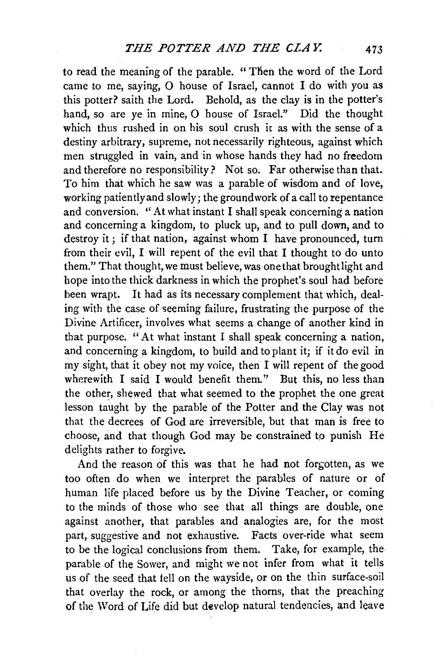to read the meaning of the parable. "Then the word of the Lord came to me, saying, 0 house of Israel, cannot I do with you as this potter? saith the Lord. Behold, as the clay is in the potter's hand, so are ye in mine, 0 house of Israel." Did the thought which thus rushed in on his soul crush it as with the sense of a destiny arbitrary, supreme, not necessarily righteous, against which men struggled in vain, and in whose hands they had no freedom and therefore no responsibility? Not so. Far otherwise than that. To him that which he saw was a parable of wisdom and of love, working patiently and slowly; the groundwork of a call to repentance and conversion. "At what instant I shall speak concerning a nation and concerning a kingdom, to pluck up, and to pull down, and to destroy it ; if that nation, against whom I have pronounced, turn from their evil, I will repent of the evil that I thought to do unto them." That thought, we must believe, was one that brought light and hope into the thick darkness in which the prophet's soul had before been wrapt. It had as its necessary complement that which, dealing with the case of seeming failure, frustrating the purpose of the Divine Artificer, involves what seems a change of another kind in that purpose. "At what instant I shall speak concerning a nation, and concerning a kingdom, to build and to plant it; if it do evil in my sight, that it obey not my voice, then I will repent of the good wherewith I said I would benefit them." But this, no less than the other, shewed that what seemed to the prophet the one great lesson taught by the parable of the Potter and the Clay was not that the decrees of God are irreversible, but that man is free to choose, and that though God may be constrained to punish He delights rather to forgive.

And the reason of this was that he had not forgotten, as we too often do when we interpret the parables of nature or of human life placed before us by the Divine Teacher, or coming to the minds of those who see that all things are double, one against another, that parables and analogies are, for the most part, suggestive and not exhaustive. Facts over-ride what seem to be the logical conclusions from them. Take, for example, the parable of the Sower, and might we not infer from what it tells us of the seed that fell on the wayside, or on the thin surface-soil that overlay the rock, or among the thorns, that the preaching of the Word of Life did but develop natural tendencies, and leave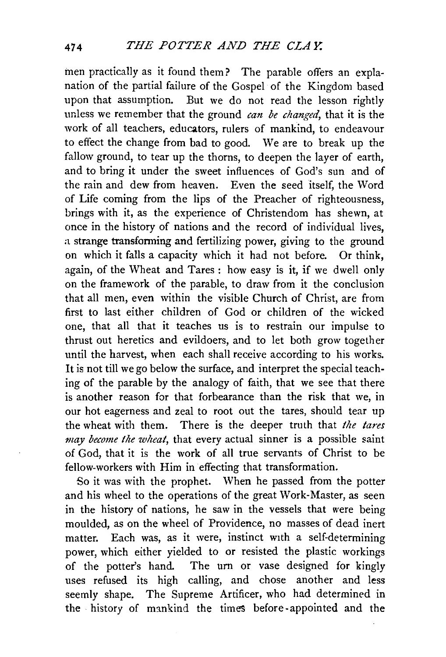men practically as it found them? The parable offers an explanation of the partial failure of the Gospel of the Kingdom based upon that assumption. But we do not read the lesson rightly unless we remember that the ground *can be changed*, that it is the work of all teachers, educators, rulers of mankind, to endeavour to effect the change from bad to good. We are to break up the fallow ground, to tear up the thorns, to deepen the layer of earth. and to bring it under the sweet influences of God's sun and of the rain and dew from heaven. Even the seed itself, the Word of Life coming from the lips of the Preacher of righteousness, brings with it, as the experience of Christendom has shewn, at once in the history of nations and the record of individual lives, a strange transforming and fertilizing power, giving to the ground on which it falls a capacity which it had not before. Or think, again, of the Wheat and Tares : how easy is it, if we dwell only on the framework of the parable, to draw from it the conclusion that all men, even within the visible Church of Christ, are from first to last either children of God or children of the wicked one, that all that it teaches us is to restrain our impulse to thrust out heretics and evildoers, and to let both grow together until the harvest, when each shall receive according to his works. It is not till we go below the surface, and interpret the special teaching of the parable by the analogy of faith, that we see that there is another reason for that forbearance than the risk that we, in our hot eagerness and zeal to root out the tares, should tear up the wheat with them. There is the deeper truth that *the tares*  may become the wheat, that every actual sinner is a possible saint of God, that it is the work of all true servants of Christ to be fellow-workers with Him in effecting that transformation.

So it was with the prophet. When he passed from the potter and his wheel to the operations of the great Work-Master, as seen in the history of nations, he saw in the vessels that *were* being moulded, as on the wheel of Providence, no masses of dead inert matter. Each was, as it were, instinct with a self-determining power, which either yielded to or resisted the plastic workings of the potter's hand. The urn or vase designed for kingly uses refused its high calling, and chose another and less seemly shape. The Supreme Artificer, who had determined in the history of mankind the times before-appointed and the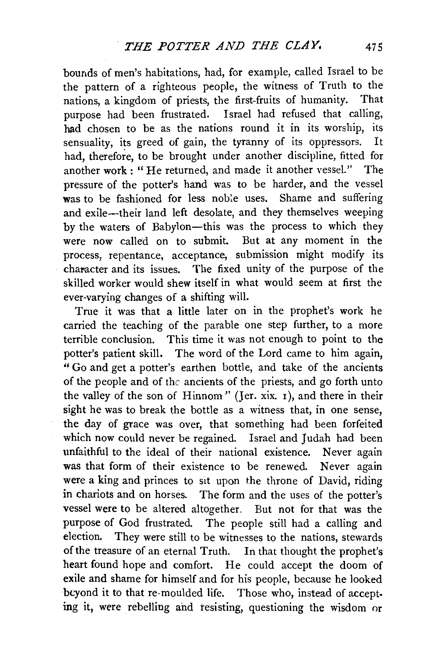bounds of men's habitations, had, for example, called Israel to be the pattern of a righteous people, the witness of Truth to the nations, a kingdom of priests, the first-fruits of humanity. That purpose had been frustrated. Israel had refused that calling, had chosen to be as the nations round it in its worship, its sensuality, its greed of gain, the tyranny of its oppressors. It had, therefore, to be brought under another discipline, fitted for another work: "He returned, and made it another vessel.'' The pressure of the potter's hand was to be harder, and the vessel was to be fashioned for less noble uses. Shame and suffering and exile-their land left desolate, and they themselves weeping by the waters of Babylon-this was the process to which they were now called on to submit. But at any moment in the process, repentance, acceptance, submission might modify its character and its issues. The fixed unity of the purpose of the skilled worker would shew itself in what would seem at first the ever-varying changes of a shifting will.

True it was that a little later on in the prophet's work he carried the teaching of the parable one step further, to a more terrible conclusion. This time it was not enough to point to the potter's patient skill. The word of the Lord came to him again, "Go and get a potter's earthen bottle, and take of the ancients of the people and of the ancients of the priests, and go forth unto the valley of the son of Hinnom" (Jer. xix. 1 ), and there in their sight he was to break the bottle as a witness that, in one sense, the day of grace was over, that something had been forfeited which now could never be regained. Israel and Judah had been unfaithful to the ideal of their national existence. Never again was that form of their existence to be renewed. Never again were a king and princes to sit upon the throne of David, riding in chariots and on horses. The form and the uses of the potter's vessel were to be altered altogether. But not for that was the purpose of God frustrated. The people still had a calling and election. They were still to be witnesses to the nations, stewards of the treasure of an eternal Truth. In that thought the prophet's heart found hope and comfort. He could accept the doom of exile and shame for himself and for his people, because he looked bcyond it to that re-moulded life. Those who, instead of accepting it, were rebelling and resisting, questioning the wisdom or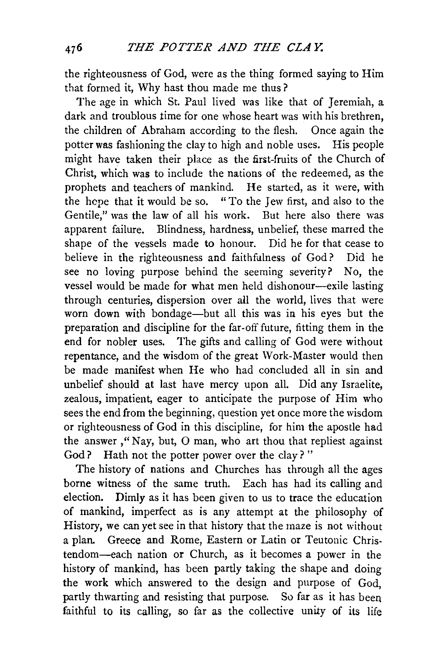the righteousness of God, were as the thing formed saying to Him that formed it, Why hast thou made me thus ?

The age in which St. Paul lived was like that of Jeremiah, a dark and troublous time for one whose heart was with his brethren. the children of Abraham according to the flesh. Once again the potter was fashioning the clay to high and noble uses. His people might have taken their place as the first-fruits of the Church of Christ, which was to include the nations of the redeemed, as the prophets and teachers of mankind. He started, as it were, with the hcpe that it would be so. " To the Jew first, and also to the Gentile," was the law of all his work. But here also there was apparent failure. Blindness, hardness, unbelief, these marred the shape of the vessels made to honour. Did he for that cease to believe in the righteousness and faithfulness of God? Did he see no loving purpose behind the seeming severity? No, the vessel would be made for what men held dishonour-exile lasting through centuries, dispersion over all the world, lives that were worn down with bondage-but all this was in his eyes but the preparation and discipline for the far-off future, fitting them in the end for nobler uses. The gifts and calling of God were without repentance, and the wisdom of the great Work-Master would then be made manifest when He who had concluded all in sin and unbelief should at last have mercy upon all. Did any Israelite, zealous, impatient, eager to anticipate the purpose of Him who sees the end from the beginning, question yet once more the wisdom or righteousness of God in this discipline, for him the apostle had the answer, "Nay, but,  $O$  man, who art thou that repliest against God? Hath not the potter power over the clay?"

The history of nations and Churches has through all the ages borne witness of the same truth. Each has had its calling and election. Dimly as it has been given to us to trace the education of mankind, imperfect as is any attempt at the philosophy of History, we can yet see in that history that the maze is not without a plan. Greece and Rome, Eastern or Latin or Teutonic Christendom-each nation or Church, as it becomes a power in the history of mankind, has been partly taking the shape and doing the work which answered to the design and purpose of God, partly thwarting and resisting that purpose. So far as it has been faithful to its calling, so far as the collective unity of its life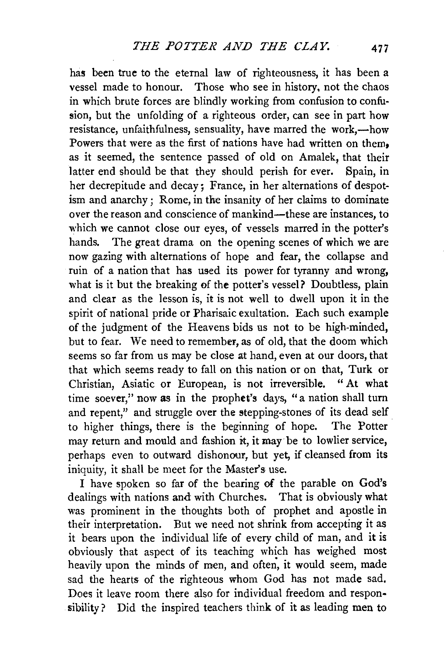has been true to the eternal law of righteousness, it has been a vessel made to honour. Those who see in history, not the chaos in which brute forces are blindly working from confusion to confusion, but the unfolding of a righteous order, can see in part how resistance, unfaithfulness, sensuality, have marred the work,—how Powers that were as the first of nations have had written on them. as it seemed, the sentence passed of old on Amalek, that their latter end should be that they should perish for ever. Spain, in her decrepitude and decay; France, in her alternations of despotism and anarchy ; Rome, in the insanity of her claims to dominate over the reason and conscience of mankind-these are instances, to which we cannot close our eyes, of vessels marred in the potter's hands. The great drama on the opening scenes of which we are now gazing with alternations of hope and fear, the collapse and ruin of a nation that has used its power for tyranny and wrong, what is it but the breaking of the potter's vessel? Doubtless, plain and clear as the lesson is, it is not well to dwell upon it in the spirit of national pride or Pharisaic exultation. Each such example of the judgment of the Heavens bids us not to be high-minded, but to fear. We need to remember, as of old, that the doom which seems so far from us may be close at hand, even at our doors, that that which seems ready to fall on this nation or on that, Turk or Christian, Asiatic or European, is not irreversible. " At what time soever," now as in the prophet's days, "a nation shall turn and repent," and struggle over the stepping-stones of its dead self to higher things, there is the beginning of hope. The Potter may return and mould and fashion it, it may be to lowlier service, perhaps even to outward dishonour, but yet, if cleansed from its iniquity, it shall be meet for the Master's use.

I have spoken so far of the bearing of the parable on God's dealings with nations and with Churches. That is obviously what was prominent in the thoughts both of prophet and apostle in their interpretation. But we need not shrink from accepting it as it bears upon the individual life of every child of man, and it is obviously that aspect of its teaching which has weighed most heavily upon the minds of men, and often, it would seem, made sad the hearts of the righteous whom God has not made sad. Does it leave room there also for individual freedom and responsibility? Did the inspired teachers think of it as leading men to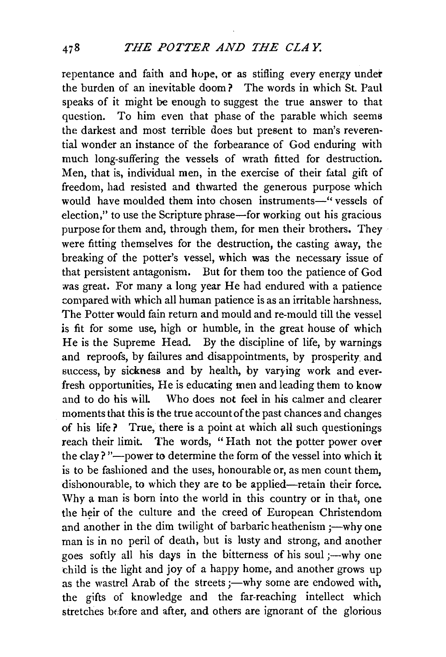repentance and faith and hope, or as stifling every energy under the burden of an inevitable doom? The words in which St. Paul speaks of it might be enough to suggest the true answer to that question. To him even that phase of the parable which seems the darkest and most terrible does but present to man's reverential wonder an instance of the forbearance of God enduring with much long-suffering the vessels of wrath fitted for destruction. Men, that is, individual men, in the exercise of their fatal gift of freedom, had resisted and thwarted the generous purpose which would have moulded them into chosen instruments-" vessels of election," to use the Scripture phrase—for working out his gracious purpose for them and, through them, for men their brothers. They were fitting themselves for the destruction, the casting away, the breaking of the potter's vessel, which was the necessary issue of that persistent antagonism. But for them too the patience of God was great. For many a long year He had endured with a patience compared with which all human patience is as an irritable harshness. The Potter would fain return and mould and re-mould till the vessel is fit for some use, high or humble, in the great house of which He is the Supreme Head. By the discipline of life, by warnings and reproofs, by failures and disappointments, by prosperity and success, by sickness and by health, by varying work and everfresh opportunities, He is educating men and leading them to know Who does not feel in his calmer and clearer moments that this is the true account of the past chances and changes of his life? True, there is a point at which all such questionings reach their limit. The words, " Hath not the potter power over the clay? "---power to determine the form of the vessel into which it is to be fashioned and the uses, honourable or, as men count them, dishonourable, to which they are to be applied-retain their force. Why a man is born into the world in this country or in that, one the heir of the culture and the creed of European Christendom and another in the dim twilight of barbaric heathenism ;—why one man is in no peril of death, but is lusty and strong, and another goes softly all his days in the bitterness of his soul ;—why one child is the light and joy of a happy home, and another grows up as the wastrel Arab of the streets ;- why some are endowed with, the gifts of knowledge and the far-reaching intellect which stretches before and after, and others are ignorant of the glorious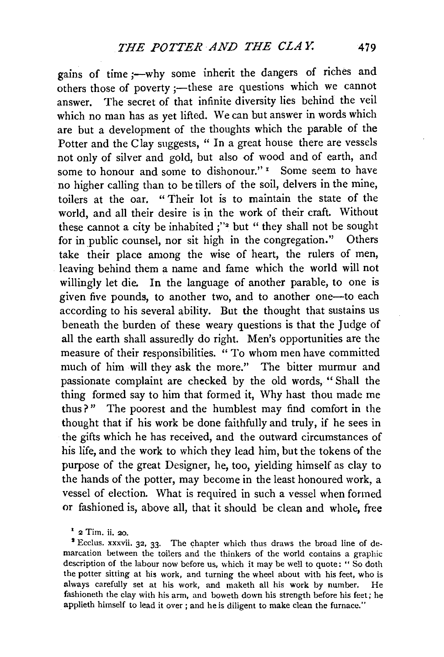gains of time ;- why some inherit the dangers of riches and others those of poverty ;- these are questions which we cannot answer. The secret of that infinite diversity lies behind the veil which no man has as yet lifted. We can but answer in words which are but a development of the thoughts which the parable of the Potter and the Clay suggests, " In a great house there are vessels not only of silver and gold, but also of wood and of earth, and some to honour and some to dishonour."<sup>1</sup> Some seem to have no higher calling than to be tillers of the soil, delvers in the mine, toilers at the oar. " Their lot is to maintain the state of the world, and all their desire is in the work of their craft. Without these cannot a city be inhabited ;"• but " they shall not be sought for in public counsel, nor sit high in the congregation." Others take their place among the wise of heart, the rulers of men, leaving behind them a name and fame which the world will not willingly let die. In the language of another parable, to one is given five pounds, to another two, and to another one-to each according to his several ability. But the thought that sustains us beneath the burden of these weary questions is that the Judge of all the earth shall assuredly do right. Men's opportunities are the measure of their responsibilities. " To whom men have committed much of him will they ask the more.'' The bitter murmur and passionate complaint are checked by the old words, " Shall the thing formed say to him that formed it, Why hast thou made me thus?" The poorest and the humblest may find comfort in the thought that if his work be done faithfully and truly, if he sees in the gifts which he has received, and the outward circumstances of his life, and the work to which they lead him, but the tokens of the purpose of the great Designer, he, too, yielding himself as clay to the hands of the potter, may become in the least honoured work, a vessel of election. What is required in such a vessel when formed or fashioned is, above all, that it should be clean and whole, free

<sup>1</sup>**2 Tim. ii. 20.** 

<sup>3</sup> Ecclus. xxxvii. 32, 33. The chapter which thus draws the broad line of demarcation between the toilers and the thinkers of the world contains a graphic description of the labour now before us, which it may be well to quote: " So doth the potter sitting at his work, and turning the wheel about with his feet, who is always carefully set at his work, and maketh all his work by number. He fashioneth the clay with his arm, and boweth down his strength before his feet; he applieth himself to lead it over ; and he is diligent to make clean the furnace."